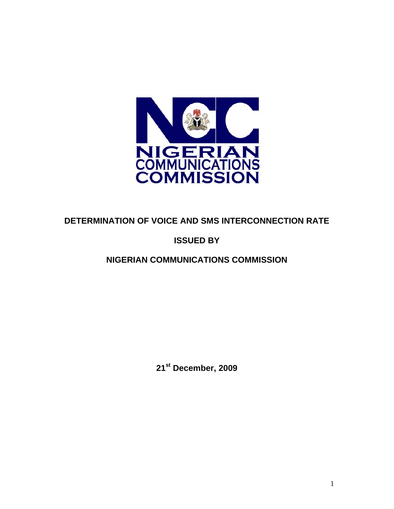

# **DETERMINATION OF VOICE AND SMS INTERCONNECTION RATE**

# **ISSUED BY**

# **NIGERIAN COMMUNICATIONS COMMISSION**

**21st December, 2009**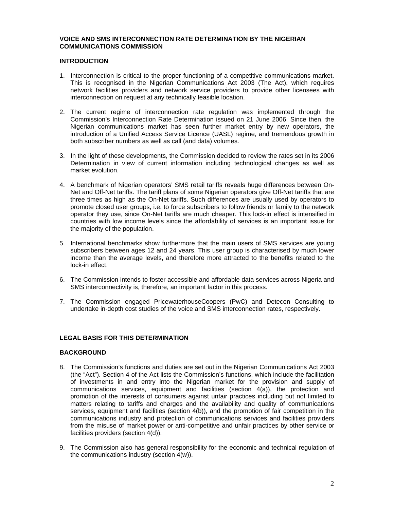## **VOICE AND SMS INTERCONNECTION RATE DETERMINATION BY THE NIGERIAN COMMUNICATIONS COMMISSION**

## **INTRODUCTION**

- 1. Interconnection is critical to the proper functioning of a competitive communications market. This is recognised in the Nigerian Communications Act 2003 (The Act), which requires network facilities providers and network service providers to provide other licensees with interconnection on request at any technically feasible location.
- 2. The current regime of interconnection rate regulation was implemented through the Commission's Interconnection Rate Determination issued on 21 June 2006. Since then, the Nigerian communications market has seen further market entry by new operators, the introduction of a Unified Access Service Licence (UASL) regime, and tremendous growth in both subscriber numbers as well as call (and data) volumes.
- 3. In the light of these developments, the Commission decided to review the rates set in its 2006 Determination in view of current information including technological changes as well as market evolution.
- 4. A benchmark of Nigerian operators' SMS retail tariffs reveals huge differences between On-Net and Off-Net tariffs. The tariff plans of some Nigerian operators give Off-Net tariffs that are three times as high as the On-Net tariffs. Such differences are usually used by operators to promote closed user groups, i.e. to force subscribers to follow friends or family to the network operator they use, since On-Net tariffs are much cheaper. This lock-in effect is intensified in countries with low income levels since the affordability of services is an important issue for the majority of the population.
- 5. International benchmarks show furthermore that the main users of SMS services are young subscribers between ages 12 and 24 years. This user group is characterised by much lower income than the average levels, and therefore more attracted to the benefits related to the lock-in effect.
- 6. The Commission intends to foster accessible and affordable data services across Nigeria and SMS interconnectivity is, therefore, an important factor in this process.
- 7. The Commission engaged PricewaterhouseCoopers (PwC) and Detecon Consulting to undertake in-depth cost studies of the voice and SMS interconnection rates, respectively.

## **LEGAL BASIS FOR THIS DETERMINATION**

## **BACKGROUND**

- 8. The Commission's functions and duties are set out in the Nigerian Communications Act 2003 (the "Act"). Section 4 of the Act lists the Commission's functions, which include the facilitation of investments in and entry into the Nigerian market for the provision and supply of communications services, equipment and facilities (section 4(a)), the protection and promotion of the interests of consumers against unfair practices including but not limited to matters relating to tariffs and charges and the availability and quality of communications services, equipment and facilities (section 4(b)), and the promotion of fair competition in the communications industry and protection of communications services and facilities providers from the misuse of market power or anti-competitive and unfair practices by other service or facilities providers (section 4(d)).
- 9. The Commission also has general responsibility for the economic and technical regulation of the communications industry (section 4(w)).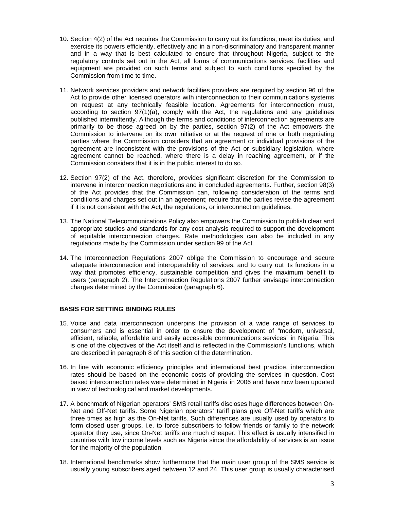- 10. Section 4(2) of the Act requires the Commission to carry out its functions, meet its duties, and exercise its powers efficiently, effectively and in a non-discriminatory and transparent manner and in a way that is best calculated to ensure that throughout Nigeria, subject to the regulatory controls set out in the Act, all forms of communications services, facilities and equipment are provided on such terms and subject to such conditions specified by the Commission from time to time.
- 11. Network services providers and network facilities providers are required by section 96 of the Act to provide other licensed operators with interconnection to their communications systems on request at any technically feasible location. Agreements for interconnection must, according to section  $97(1)(a)$ , comply with the Act, the regulations and any quidelines published intermittently. Although the terms and conditions of interconnection agreements are primarily to be those agreed on by the parties, section 97(2) of the Act empowers the Commission to intervene on its own initiative or at the request of one or both negotiating parties where the Commission considers that an agreement or individual provisions of the agreement are inconsistent with the provisions of the Act or subsidiary legislation, where agreement cannot be reached, where there is a delay in reaching agreement, or if the Commission considers that it is in the public interest to do so.
- 12. Section 97(2) of the Act, therefore, provides significant discretion for the Commission to intervene in interconnection negotiations and in concluded agreements. Further, section 98(3) of the Act provides that the Commission can, following consideration of the terms and conditions and charges set out in an agreement; require that the parties revise the agreement if it is not consistent with the Act, the regulations, or interconnection guidelines.
- 13. The National Telecommunications Policy also empowers the Commission to publish clear and appropriate studies and standards for any cost analysis required to support the development of equitable interconnection charges. Rate methodologies can also be included in any regulations made by the Commission under section 99 of the Act.
- 14. The Interconnection Regulations 2007 oblige the Commission to encourage and secure adequate interconnection and interoperability of services; and to carry out its functions in a way that promotes efficiency, sustainable competition and gives the maximum benefit to users (paragraph 2). The Interconnection Regulations 2007 further envisage interconnection charges determined by the Commission (paragraph 6).

## **BASIS FOR SETTING BINDING RULES**

- 15. Voice and data interconnection underpins the provision of a wide range of services to consumers and is essential in order to ensure the development of "modern, universal, efficient, reliable, affordable and easily accessible communications services" in Nigeria. This is one of the objectives of the Act itself and is reflected in the Commission's functions, which are described in paragraph 8 of this section of the determination.
- 16. In line with economic efficiency principles and international best practice, interconnection rates should be based on the economic costs of providing the services in question. Cost based interconnection rates were determined in Nigeria in 2006 and have now been updated in view of technological and market developments.
- 17. A benchmark of Nigerian operators' SMS retail tariffs discloses huge differences between On-Net and Off-Net tariffs. Some Nigerian operators' tariff plans give Off-Net tariffs which are three times as high as the On-Net tariffs. Such differences are usually used by operators to form closed user groups, i.e. to force subscribers to follow friends or family to the network operator they use, since On-Net tariffs are much cheaper. This effect is usually intensified in countries with low income levels such as Nigeria since the affordability of services is an issue for the majority of the population.
- 18. International benchmarks show furthermore that the main user group of the SMS service is usually young subscribers aged between 12 and 24. This user group is usually characterised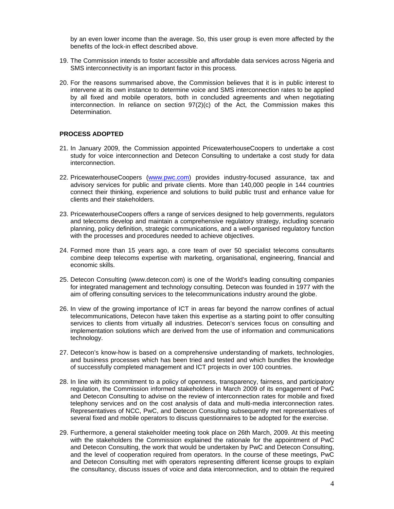by an even lower income than the average. So, this user group is even more affected by the benefits of the lock-in effect described above.

- 19. The Commission intends to foster accessible and affordable data services across Nigeria and SMS interconnectivity is an important factor in this process.
- 20. For the reasons summarised above, the Commission believes that it is in public interest to intervene at its own instance to determine voice and SMS interconnection rates to be applied by all fixed and mobile operators, both in concluded agreements and when negotiating interconnection. In reliance on section  $97(2)(c)$  of the Act, the Commission makes this Determination.

## **PROCESS ADOPTED**

- 21. In January 2009, the Commission appointed PricewaterhouseCoopers to undertake a cost study for voice interconnection and Detecon Consulting to undertake a cost study for data interconnection.
- 22. PricewaterhouseCoopers (www.pwc.com) provides industry-focused assurance, tax and advisory services for public and private clients. More than 140,000 people in 144 countries connect their thinking, experience and solutions to build public trust and enhance value for clients and their stakeholders.
- 23. PricewaterhouseCoopers offers a range of services designed to help governments, regulators and telecoms develop and maintain a comprehensive regulatory strategy, including scenario planning, policy definition, strategic communications, and a well-organised regulatory function with the processes and procedures needed to achieve objectives.
- 24. Formed more than 15 years ago, a core team of over 50 specialist telecoms consultants combine deep telecoms expertise with marketing, organisational, engineering, financial and economic skills.
- 25. Detecon Consulting (www.detecon.com) is one of the World's leading consulting companies for integrated management and technology consulting. Detecon was founded in 1977 with the aim of offering consulting services to the telecommunications industry around the globe.
- 26. In view of the growing importance of ICT in areas far beyond the narrow confines of actual telecommunications, Detecon have taken this expertise as a starting point to offer consulting services to clients from virtually all industries. Detecon's services focus on consulting and implementation solutions which are derived from the use of information and communications technology.
- 27. Detecon's know-how is based on a comprehensive understanding of markets, technologies, and business processes which has been tried and tested and which bundles the knowledge of successfully completed management and ICT projects in over 100 countries.
- 28. In line with its commitment to a policy of openness, transparency, fairness, and participatory regulation, the Commission informed stakeholders in March 2009 of its engagement of PwC and Detecon Consulting to advise on the review of interconnection rates for mobile and fixed telephony services and on the cost analysis of data and multi-media interconnection rates. Representatives of NCC, PwC, and Detecon Consulting subsequently met representatives of several fixed and mobile operators to discuss questionnaires to be adopted for the exercise.
- 29. Furthermore, a general stakeholder meeting took place on 26th March, 2009. At this meeting with the stakeholders the Commission explained the rationale for the appointment of PwC and Detecon Consulting, the work that would be undertaken by PwC and Detecon Consulting, and the level of cooperation required from operators. In the course of these meetings, PwC and Detecon Consulting met with operators representing different license groups to explain the consultancy, discuss issues of voice and data interconnection, and to obtain the required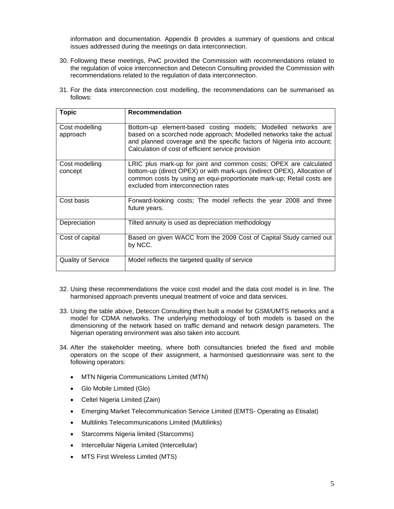information and documentation. Appendix B provides a summary of questions and critical issues addressed during the meetings on data interconnection.

- 30. Following these meetings, PwC provided the Commission with recommendations related to the regulation of voice interconnection and Detecon Consulting provided the Commission with recommendations related to the regulation of data interconnection.
- 31. For the data interconnection cost modelling, the recommendations can be summarised as follows:

| <b>Topic</b>               | <b>Recommendation</b>                                                                                                                                                                                                                                                 |
|----------------------------|-----------------------------------------------------------------------------------------------------------------------------------------------------------------------------------------------------------------------------------------------------------------------|
| Cost modelling<br>approach | Bottom-up element-based costing models; Modelled networks are<br>based on a scorched node approach; Modelled networks take the actual<br>and planned coverage and the specific factors of Nigeria into account;<br>Calculation of cost of efficient service provision |
| Cost modelling<br>concept  | LRIC plus mark-up for joint and common costs; OPEX are calculated<br>bottom-up (direct OPEX) or with mark-ups (indirect OPEX), Allocation of<br>common costs by using an equi-proportionate mark-up; Retail costs are<br>excluded from interconnection rates          |
| Cost basis                 | Forward-looking costs; The model reflects the year 2008 and three<br>future years.                                                                                                                                                                                    |
| Depreciation               | Tilted annuity is used as depreciation methodology                                                                                                                                                                                                                    |
| Cost of capital            | Based on given WACC from the 2009 Cost of Capital Study carried out<br>by NCC.                                                                                                                                                                                        |
| <b>Quality of Service</b>  | Model reflects the targeted quality of service                                                                                                                                                                                                                        |

- 32. Using these recommendations the voice cost model and the data cost model is in line. The harmonised approach prevents unequal treatment of voice and data services.
- 33. Using the table above, Detecon Consulting then built a model for GSM/UMTS networks and a model for CDMA networks. The underlying methodology of both models is based on the dimensioning of the network based on traffic demand and network design parameters. The Nigerian operating environment was also taken into account.
- 34. After the stakeholder meeting, where both consultancies briefed the fixed and mobile operators on the scope of their assignment, a harmonised questionnaire was sent to the following operators:
	- MTN Nigeria Communications Limited (MTN)
	- Glo Mobile Limited (Glo)
	- Celtel Nigeria Limited (Zain)
	- Emerging Market Telecommunication Service Limited (EMTS- Operating as Etisalat)
	- Multilinks Telecommunications Limited (Multilinks)
	- Starcomms Nigeria limited (Starcomms)
	- Intercellular Nigeria Limited (Intercellular)
	- MTS First Wireless Limited (MTS)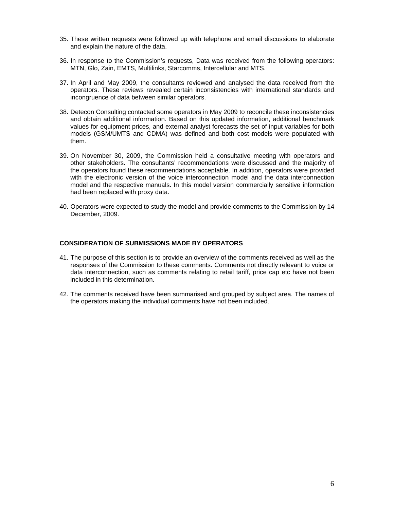- 35. These written requests were followed up with telephone and email discussions to elaborate and explain the nature of the data.
- 36. In response to the Commission's requests, Data was received from the following operators: MTN, Glo, Zain, EMTS, Multilinks, Starcomms, Intercellular and MTS.
- 37. In April and May 2009, the consultants reviewed and analysed the data received from the operators. These reviews revealed certain inconsistencies with international standards and incongruence of data between similar operators.
- 38. Detecon Consulting contacted some operators in May 2009 to reconcile these inconsistencies and obtain additional information. Based on this updated information, additional benchmark values for equipment prices, and external analyst forecasts the set of input variables for both models (GSM/UMTS and CDMA) was defined and both cost models were populated with them.
- 39. On November 30, 2009, the Commission held a consultative meeting with operators and other stakeholders. The consultants' recommendations were discussed and the majority of the operators found these recommendations acceptable. In addition, operators were provided with the electronic version of the voice interconnection model and the data interconnection model and the respective manuals. In this model version commercially sensitive information had been replaced with proxy data.
- 40. Operators were expected to study the model and provide comments to the Commission by 14 December, 2009.

## **CONSIDERATION OF SUBMISSIONS MADE BY OPERATORS**

- 41. The purpose of this section is to provide an overview of the comments received as well as the responses of the Commission to these comments. Comments not directly relevant to voice or data interconnection, such as comments relating to retail tariff, price cap etc have not been included in this determination.
- 42. The comments received have been summarised and grouped by subject area. The names of the operators making the individual comments have not been included.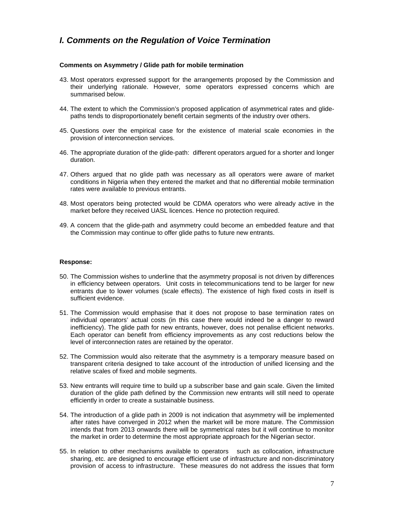## *I. Comments on the Regulation of Voice Termination*

## **Comments on Asymmetry / Glide path for mobile termination**

- 43. Most operators expressed support for the arrangements proposed by the Commission and their underlying rationale. However, some operators expressed concerns which are summarised below.
- 44. The extent to which the Commission's proposed application of asymmetrical rates and glidepaths tends to disproportionately benefit certain segments of the industry over others.
- 45. Questions over the empirical case for the existence of material scale economies in the provision of interconnection services.
- 46. The appropriate duration of the glide-path: different operators argued for a shorter and longer duration.
- 47. Others argued that no glide path was necessary as all operators were aware of market conditions in Nigeria when they entered the market and that no differential mobile termination rates were available to previous entrants.
- 48. Most operators being protected would be CDMA operators who were already active in the market before they received UASL licences. Hence no protection required.
- 49. A concern that the glide-path and asymmetry could become an embedded feature and that the Commission may continue to offer glide paths to future new entrants.

#### **Response:**

- 50. The Commission wishes to underline that the asymmetry proposal is not driven by differences in efficiency between operators. Unit costs in telecommunications tend to be larger for new entrants due to lower volumes (scale effects). The existence of high fixed costs in itself is sufficient evidence.
- 51. The Commission would emphasise that it does not propose to base termination rates on individual operators' actual costs (in this case there would indeed be a danger to reward inefficiency). The glide path for new entrants, however, does not penalise efficient networks. Each operator can benefit from efficiency improvements as any cost reductions below the level of interconnection rates are retained by the operator.
- 52. The Commission would also reiterate that the asymmetry is a temporary measure based on transparent criteria designed to take account of the introduction of unified licensing and the relative scales of fixed and mobile segments.
- 53. New entrants will require time to build up a subscriber base and gain scale. Given the limited duration of the glide path defined by the Commission new entrants will still need to operate efficiently in order to create a sustainable business.
- 54. The introduction of a glide path in 2009 is not indication that asymmetry will be implemented after rates have converged in 2012 when the market will be more mature. The Commission intends that from 2013 onwards there will be symmetrical rates but it will continue to monitor the market in order to determine the most appropriate approach for the Nigerian sector.
- 55. In relation to other mechanisms available to operators such as collocation, infrastructure sharing, etc. are designed to encourage efficient use of infrastructure and non-discriminatory provision of access to infrastructure. These measures do not address the issues that form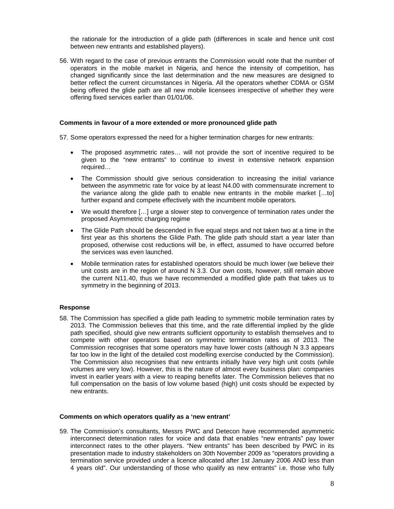the rationale for the introduction of a glide path (differences in scale and hence unit cost between new entrants and established players).

56. With regard to the case of previous entrants the Commission would note that the number of operators in the mobile market in Nigeria, and hence the intensity of competition, has changed significantly since the last determination and the new measures are designed to better reflect the current circumstances in Nigeria. All the operators whether CDMA or GSM being offered the glide path are all new mobile licensees irrespective of whether they were offering fixed services earlier than 01/01/06.

#### **Comments in favour of a more extended or more pronounced glide path**

57. Some operators expressed the need for a higher termination charges for new entrants:

- The proposed asymmetric rates... will not provide the sort of incentive required to be given to the "new entrants" to continue to invest in extensive network expansion required…
- The Commission should give serious consideration to increasing the initial variance between the asymmetric rate for voice by at least N4.00 with commensurate increment to the variance along the glide path to enable new entrants in the mobile market […to] further expand and compete effectively with the incumbent mobile operators.
- We would therefore […] urge a slower step to convergence of termination rates under the proposed Asymmetric charging regime
- The Glide Path should be descended in five equal steps and not taken two at a time in the first year as this shortens the Glide Path. The glide path should start a year later than proposed, otherwise cost reductions will be, in effect, assumed to have occurred before the services was even launched.
- Mobile termination rates for established operators should be much lower (we believe their unit costs are in the region of around N 3.3. Our own costs, however, still remain above the current N11.40, thus we have recommended a modified glide path that takes us to symmetry in the beginning of 2013.

#### **Response**

58. The Commission has specified a glide path leading to symmetric mobile termination rates by 2013. The Commission believes that this time, and the rate differential implied by the glide path specified, should give new entrants sufficient opportunity to establish themselves and to compete with other operators based on symmetric termination rates as of 2013. The Commission recognises that some operators may have lower costs (although N 3.3 appears far too low in the light of the detailed cost modelling exercise conducted by the Commission). The Commission also recognises that new entrants initially have very high unit costs (while volumes are very low). However, this is the nature of almost every business plan: companies invest in earlier years with a view to reaping benefits later. The Commission believes that no full compensation on the basis of low volume based (high) unit costs should be expected by new entrants.

#### **Comments on which operators qualify as a 'new entrant'**

59. The Commission's consultants, Messrs PWC and Detecon have recommended asymmetric interconnect determination rates for voice and data that enables "new entrants" pay lower interconnect rates to the other players. "New entrants" has been described by PWC in its presentation made to industry stakeholders on 30th November 2009 as "operators providing a termination service provided under a licence allocated after 1st January 2006 AND less than 4 years old". Our understanding of those who qualify as new entrants" i.e. those who fully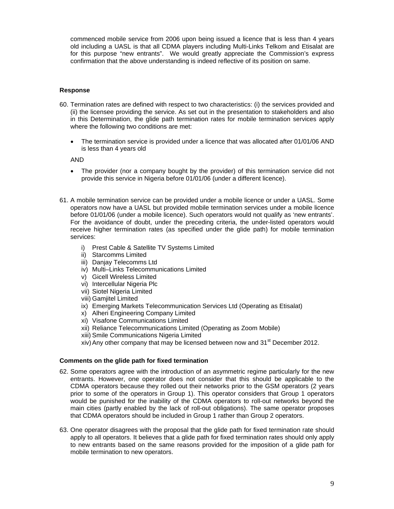commenced mobile service from 2006 upon being issued a licence that is less than 4 years old including a UASL is that all CDMA players including Multi-Links Telkom and Etisalat are for this purpose "new entrants". We would greatly appreciate the Commission's express confirmation that the above understanding is indeed reflective of its position on same.

## **Response**

- 60. Termination rates are defined with respect to two characteristics: (i) the services provided and (ii) the licensee providing the service. As set out in the presentation to stakeholders and also in this Determination, the glide path termination rates for mobile termination services apply where the following two conditions are met:
	- The termination service is provided under a licence that was allocated after 01/01/06 AND is less than 4 years old

AND

- The provider (nor a company bought by the provider) of this termination service did not provide this service in Nigeria before 01/01/06 (under a different licence).
- 61. A mobile termination service can be provided under a mobile licence or under a UASL. Some operators now have a UASL but provided mobile termination services under a mobile licence before 01/01/06 (under a mobile licence). Such operators would not qualify as 'new entrants'. For the avoidance of doubt, under the preceding criteria, the under-listed operators would receive higher termination rates (as specified under the glide path) for mobile termination services:
	- i) Prest Cable & Satellite TV Systems Limited
	- ii) Starcomms Limited
	- iii) Danjay Telecomms Ltd
	- iv) Multi–Links Telecommunications Limited
	- v) Gicell Wireless Limited
	- vi) Intercellular Nigeria Plc
	- vii) Siotel Nigeria Limited
	- viii) Gamjitel Limited
	- ix) Emerging Markets Telecommunication Services Ltd (Operating as Etisalat)
	- x) Alheri Engineering Company Limited
	- xi) Visafone Communications Limited
	- xii) Reliance Telecommunications Limited (Operating as Zoom Mobile)
	- xiii) Smile Communications Nigeria Limited
	- xiv) Any other company that may be licensed between now and  $31<sup>st</sup>$  December 2012.

#### **Comments on the glide path for fixed termination**

- 62. Some operators agree with the introduction of an asymmetric regime particularly for the new entrants. However, one operator does not consider that this should be applicable to the CDMA operators because they rolled out their networks prior to the GSM operators (2 years prior to some of the operators in Group 1). This operator considers that Group 1 operators would be punished for the inability of the CDMA operators to roll-out networks beyond the main cities (partly enabled by the lack of roll-out obligations). The same operator proposes that CDMA operators should be included in Group 1 rather than Group 2 operators.
- 63. One operator disagrees with the proposal that the glide path for fixed termination rate should apply to all operators. It believes that a glide path for fixed termination rates should only apply to new entrants based on the same reasons provided for the imposition of a glide path for mobile termination to new operators.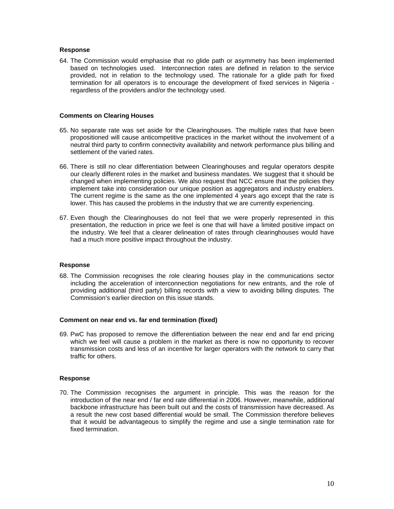## **Response**

64. The Commission would emphasise that no glide path or asymmetry has been implemented based on technologies used. Interconnection rates are defined in relation to the service provided, not in relation to the technology used. The rationale for a glide path for fixed termination for all operators is to encourage the development of fixed services in Nigeria regardless of the providers and/or the technology used.

#### **Comments on Clearing Houses**

- 65. No separate rate was set aside for the Clearinghouses. The multiple rates that have been propositioned will cause anticompetitive practices in the market without the involvement of a neutral third party to confirm connectivity availability and network performance plus billing and settlement of the varied rates.
- 66. There is still no clear differentiation between Clearinghouses and regular operators despite our clearly different roles in the market and business mandates. We suggest that it should be changed when implementing policies. We also request that NCC ensure that the policies they implement take into consideration our unique position as aggregators and industry enablers. The current regime is the same as the one implemented 4 years ago except that the rate is lower. This has caused the problems in the industry that we are currently experiencing.
- 67. Even though the Clearinghouses do not feel that we were properly represented in this presentation, the reduction in price we feel is one that will have a limited positive impact on the industry. We feel that a clearer delineation of rates through clearinghouses would have had a much more positive impact throughout the industry.

#### **Response**

68. The Commission recognises the role clearing houses play in the communications sector including the acceleration of interconnection negotiations for new entrants, and the role of providing additional (third party) billing records with a view to avoiding billing disputes. The Commission's earlier direction on this issue stands.

#### **Comment on near end vs. far end termination (fixed)**

69. PwC has proposed to remove the differentiation between the near end and far end pricing which we feel will cause a problem in the market as there is now no opportunity to recover transmission costs and less of an incentive for larger operators with the network to carry that traffic for others.

## **Response**

70. The Commission recognises the argument in principle. This was the reason for the introduction of the near end / far end rate differential in 2006. However, meanwhile, additional backbone infrastructure has been built out and the costs of transmission have decreased. As a result the new cost based differential would be small. The Commission therefore believes that it would be advantageous to simplify the regime and use a single termination rate for fixed termination.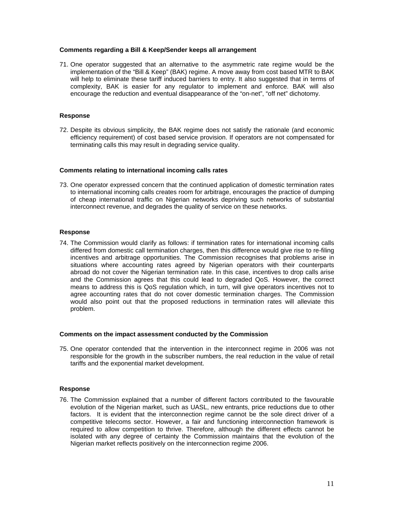## **Comments regarding a Bill & Keep/Sender keeps all arrangement**

71. One operator suggested that an alternative to the asymmetric rate regime would be the implementation of the "Bill & Keep" (BAK) regime. A move away from cost based MTR to BAK will help to eliminate these tariff induced barriers to entry. It also suggested that in terms of complexity, BAK is easier for any regulator to implement and enforce. BAK will also encourage the reduction and eventual disappearance of the "on-net", "off net" dichotomy.

## **Response**

72. Despite its obvious simplicity, the BAK regime does not satisfy the rationale (and economic efficiency requirement) of cost based service provision. If operators are not compensated for terminating calls this may result in degrading service quality.

#### **Comments relating to international incoming calls rates**

73. One operator expressed concern that the continued application of domestic termination rates to international incoming calls creates room for arbitrage, encourages the practice of dumping of cheap international traffic on Nigerian networks depriving such networks of substantial interconnect revenue, and degrades the quality of service on these networks.

## **Response**

74. The Commission would clarify as follows: if termination rates for international incoming calls differed from domestic call termination charges, then this difference would give rise to re-filing incentives and arbitrage opportunities. The Commission recognises that problems arise in situations where accounting rates agreed by Nigerian operators with their counterparts abroad do not cover the Nigerian termination rate. In this case, incentives to drop calls arise and the Commission agrees that this could lead to degraded QoS. However, the correct means to address this is QoS regulation which, in turn, will give operators incentives not to agree accounting rates that do not cover domestic termination charges. The Commission would also point out that the proposed reductions in termination rates will alleviate this problem.

#### **Comments on the impact assessment conducted by the Commission**

75. One operator contended that the intervention in the interconnect regime in 2006 was not responsible for the growth in the subscriber numbers, the real reduction in the value of retail tariffs and the exponential market development.

#### **Response**

76. The Commission explained that a number of different factors contributed to the favourable evolution of the Nigerian market, such as UASL, new entrants, price reductions due to other factors. It is evident that the interconnection regime cannot be the sole direct driver of a competitive telecoms sector. However, a fair and functioning interconnection framework is required to allow competition to thrive. Therefore, although the different effects cannot be isolated with any degree of certainty the Commission maintains that the evolution of the Nigerian market reflects positively on the interconnection regime 2006.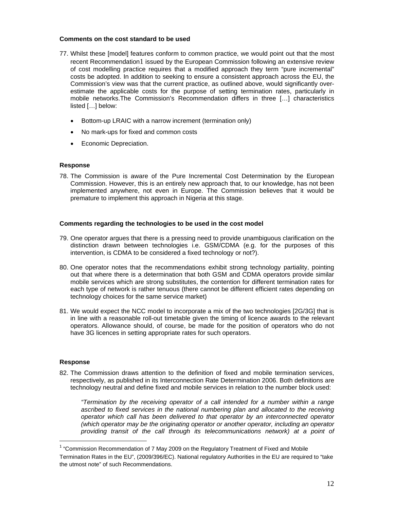## **Comments on the cost standard to be used**

- 77. Whilst these [model] features conform to common practice, we would point out that the most recent Recommendation1 issued by the European Commission following an extensive review of cost modelling practice requires that a modified approach they term "pure incremental" costs be adopted. In addition to seeking to ensure a consistent approach across the EU, the Commission's view was that the current practice, as outlined above, would significantly overestimate the applicable costs for the purpose of setting termination rates, particularly in mobile networks.The Commission's Recommendation differs in three […] characteristics listed […] below:
	- Bottom-up LRAIC with a narrow increment (termination only)
	- No mark-ups for fixed and common costs
	- Economic Depreciation.

## **Response**

78. The Commission is aware of the Pure Incremental Cost Determination by the European Commission. However, this is an entirely new approach that, to our knowledge, has not been implemented anywhere, not even in Europe. The Commission believes that it would be premature to implement this approach in Nigeria at this stage.

## **Comments regarding the technologies to be used in the cost model**

- 79. One operator argues that there is a pressing need to provide unambiguous clarification on the distinction drawn between technologies i.e. GSM/CDMA (e.g. for the purposes of this intervention, is CDMA to be considered a fixed technology or not?).
- 80. One operator notes that the recommendations exhibit strong technology partiality, pointing out that where there is a determination that both GSM and CDMA operators provide similar mobile services which are strong substitutes, the contention for different termination rates for each type of network is rather tenuous (there cannot be different efficient rates depending on technology choices for the same service market)
- 81. We would expect the NCC model to incorporate a mix of the two technologies [2G/3G] that is in line with a reasonable roll-out timetable given the timing of licence awards to the relevant operators. Allowance should, of course, be made for the position of operators who do not have 3G licences in setting appropriate rates for such operators.

## **Response**

 $\overline{a}$ 

82. The Commission draws attention to the definition of fixed and mobile termination services, respectively, as published in its Interconnection Rate Determination 2006. Both definitions are technology neutral and define fixed and mobile services in relation to the number block used:

*"Termination by the receiving operator of a call intended for a number within a range*  ascribed to fixed services in the national numbering plan and allocated to the receiving *operator which call has been delivered to that operator by an interconnected operator (which operator may be the originating operator or another operator, including an operator*  providing transit of the call through its telecommunications network) at a point of

<sup>&</sup>lt;sup>1</sup> "Commission Recommendation of 7 May 2009 on the Regulatory Treatment of Fixed and Mobile Termination Rates in the EU", (2009/396/EC). National regulatory Authorities in the EU are required to "take the utmost note" of such Recommendations.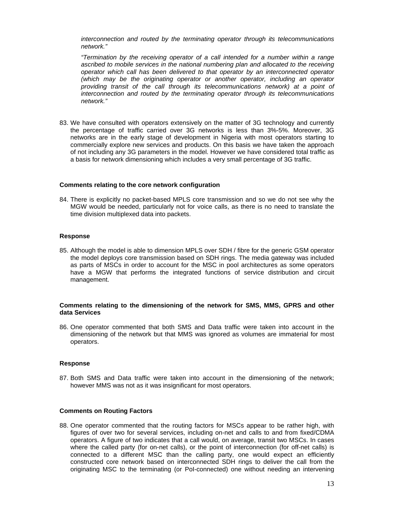*interconnection and routed by the terminating operator through its telecommunications network."* 

*"Termination by the receiving operator of a call intended for a number within a range ascribed to mobile services in the national numbering plan and allocated to the receiving operator which call has been delivered to that operator by an interconnected operator (which may be the originating operator or another operator, including an operator providing transit of the call through its telecommunications network) at a point of interconnection and routed by the terminating operator through its telecommunications network."* 

83. We have consulted with operators extensively on the matter of 3G technology and currently the percentage of traffic carried over 3G networks is less than 3%-5%. Moreover, 3G networks are in the early stage of development in Nigeria with most operators starting to commercially explore new services and products. On this basis we have taken the approach of not including any 3G parameters in the model. However we have considered total traffic as a basis for network dimensioning which includes a very small percentage of 3G traffic.

#### **Comments relating to the core network configuration**

84. There is explicitly no packet-based MPLS core transmission and so we do not see why the MGW would be needed, particularly not for voice calls, as there is no need to translate the time division multiplexed data into packets.

#### **Response**

85. Although the model is able to dimension MPLS over SDH / fibre for the generic GSM operator the model deploys core transmission based on SDH rings. The media gateway was included as parts of MSCs in order to account for the MSC in pool architectures as some operators have a MGW that performs the integrated functions of service distribution and circuit management.

#### **Comments relating to the dimensioning of the network for SMS, MMS, GPRS and other data Services**

86. One operator commented that both SMS and Data traffic were taken into account in the dimensioning of the network but that MMS was ignored as volumes are immaterial for most operators.

#### **Response**

87. Both SMS and Data traffic were taken into account in the dimensioning of the network; however MMS was not as it was insignificant for most operators.

#### **Comments on Routing Factors**

88. One operator commented that the routing factors for MSCs appear to be rather high, with figures of over two for several services, including on-net and calls to and from fixed/CDMA operators. A figure of two indicates that a call would, on average, transit two MSCs. In cases where the called party (for on-net calls), or the point of interconnection (for off-net calls) is connected to a different MSC than the calling party, one would expect an efficiently constructed core network based on interconnected SDH rings to deliver the call from the originating MSC to the terminating (or PoI-connected) one without needing an intervening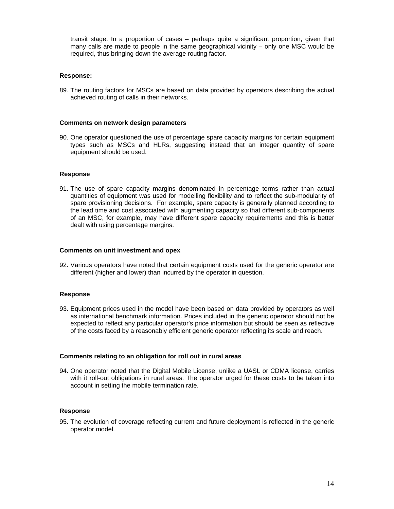transit stage. In a proportion of cases – perhaps quite a significant proportion, given that many calls are made to people in the same geographical vicinity – only one MSC would be required, thus bringing down the average routing factor.

## **Response:**

89. The routing factors for MSCs are based on data provided by operators describing the actual achieved routing of calls in their networks.

#### **Comments on network design parameters**

90. One operator questioned the use of percentage spare capacity margins for certain equipment types such as MSCs and HLRs, suggesting instead that an integer quantity of spare equipment should be used.

#### **Response**

91. The use of spare capacity margins denominated in percentage terms rather than actual quantities of equipment was used for modelling flexibility and to reflect the sub-modularity of spare provisioning decisions. For example, spare capacity is generally planned according to the lead time and cost associated with augmenting capacity so that different sub-components of an MSC, for example, may have different spare capacity requirements and this is better dealt with using percentage margins.

#### **Comments on unit investment and opex**

92. Various operators have noted that certain equipment costs used for the generic operator are different (higher and lower) than incurred by the operator in question.

#### **Response**

93. Equipment prices used in the model have been based on data provided by operators as well as international benchmark information. Prices included in the generic operator should not be expected to reflect any particular operator's price information but should be seen as reflective of the costs faced by a reasonably efficient generic operator reflecting its scale and reach.

#### **Comments relating to an obligation for roll out in rural areas**

94. One operator noted that the Digital Mobile License, unlike a UASL or CDMA license, carries with it roll-out obligations in rural areas. The operator urged for these costs to be taken into account in setting the mobile termination rate.

## **Response**

95. The evolution of coverage reflecting current and future deployment is reflected in the generic operator model.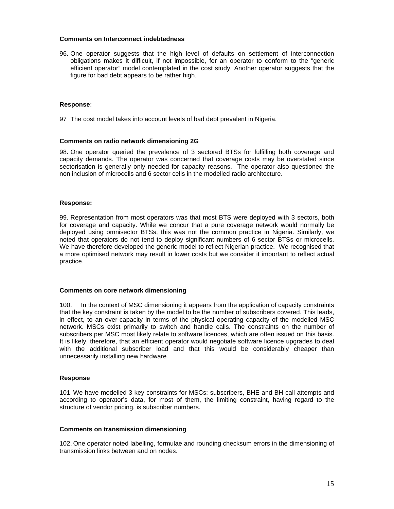## **Comments on Interconnect indebtedness**

96. One operator suggests that the high level of defaults on settlement of interconnection obligations makes it difficult, if not impossible, for an operator to conform to the "generic efficient operator" model contemplated in the cost study. Another operator suggests that the figure for bad debt appears to be rather high.

## **Response**:

97 The cost model takes into account levels of bad debt prevalent in Nigeria.

## **Comments on radio network dimensioning 2G**

98. One operator queried the prevalence of 3 sectored BTSs for fulfilling both coverage and capacity demands. The operator was concerned that coverage costs may be overstated since sectorisation is generally only needed for capacity reasons. The operator also questioned the non inclusion of microcells and 6 sector cells in the modelled radio architecture.

## **Response:**

99. Representation from most operators was that most BTS were deployed with 3 sectors, both for coverage and capacity. While we concur that a pure coverage network would normally be deployed using omnisector BTSs, this was not the common practice in Nigeria. Similarly, we noted that operators do not tend to deploy significant numbers of 6 sector BTSs or microcells. We have therefore developed the generic model to reflect Nigerian practice. We recognised that a more optimised network may result in lower costs but we consider it important to reflect actual practice.

#### **Comments on core network dimensioning**

100. In the context of MSC dimensioning it appears from the application of capacity constraints that the key constraint is taken by the model to be the number of subscribers covered. This leads, in effect, to an over-capacity in terms of the physical operating capacity of the modelled MSC network. MSCs exist primarily to switch and handle calls. The constraints on the number of subscribers per MSC most likely relate to software licences, which are often issued on this basis. It is likely, therefore, that an efficient operator would negotiate software licence upgrades to deal with the additional subscriber load and that this would be considerably cheaper than unnecessarily installing new hardware.

#### **Response**

101. We have modelled 3 key constraints for MSCs: subscribers, BHE and BH call attempts and according to operator's data, for most of them, the limiting constraint, having regard to the structure of vendor pricing, is subscriber numbers.

#### **Comments on transmission dimensioning**

102. One operator noted labelling, formulae and rounding checksum errors in the dimensioning of transmission links between and on nodes.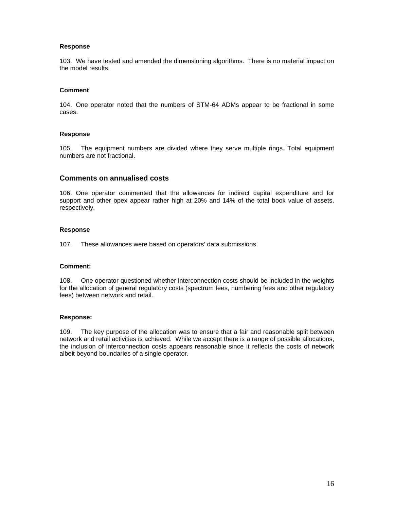## **Response**

103. We have tested and amended the dimensioning algorithms. There is no material impact on the model results.

## **Comment**

104. One operator noted that the numbers of STM-64 ADMs appear to be fractional in some cases.

## **Response**

105. The equipment numbers are divided where they serve multiple rings. Total equipment numbers are not fractional.

## **Comments on annualised costs**

106. One operator commented that the allowances for indirect capital expenditure and for support and other opex appear rather high at 20% and 14% of the total book value of assets, respectively.

## **Response**

107. These allowances were based on operators' data submissions.

#### **Comment:**

108. One operator questioned whether interconnection costs should be included in the weights for the allocation of general regulatory costs (spectrum fees, numbering fees and other regulatory fees) between network and retail.

#### **Response:**

109. The key purpose of the allocation was to ensure that a fair and reasonable split between network and retail activities is achieved. While we accept there is a range of possible allocations, the inclusion of interconnection costs appears reasonable since it reflects the costs of network albeit beyond boundaries of a single operator.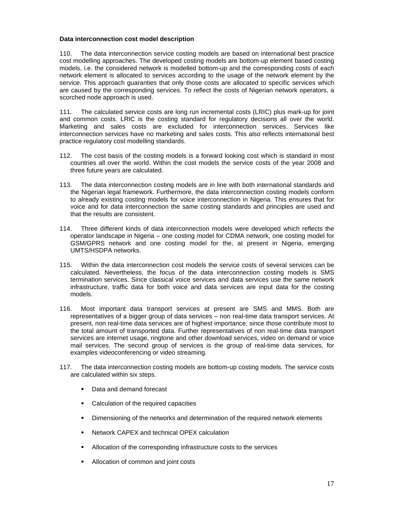## **Data interconnection cost model description**

110. The data interconnection service costing models are based on international best practice cost modelling approaches. The developed costing models are bottom-up element based costing models, i.e. the considered network is modelled bottom-up and the corresponding costs of each network element is allocated to services according to the usage of the network element by the service. This approach guaranties that only those costs are allocated to specific services which are caused by the corresponding services. To reflect the costs of Nigerian network operators, a scorched node approach is used.

111. The calculated service costs are long run incremental costs (LRIC) plus mark-up for joint and common costs. LRIC is the costing standard for regulatory decisions all over the world. Marketing and sales costs are excluded for interconnection services. Services like interconnection services have no marketing and sales costs. This also reflects international best practice regulatory cost modelling standards.

- 112. The cost basis of the costing models is a forward looking cost which is standard in most countries all over the world. Within the cost models the service costs of the year 2008 and three future years are calculated.
- 113. The data interconnection costing models are in line with both international standards and the Nigerian legal framework. Furthermore, the data interconnection costing models conform to already existing costing models for voice interconnection in Nigeria. This ensures that for voice and for data interconnection the same costing standards and principles are used and that the results are consistent.
- 114. Three different kinds of data interconnection models were developed which reflects the operator landscape in Nigeria – one costing model for CDMA network, one costing model for GSM/GPRS network and one costing model for the, at present in Nigeria, emerging UMTS/HSDPA networks.
- 115. Within the data interconnection cost models the service costs of several services can be calculated. Nevertheless, the focus of the data interconnection costing models is SMS termination services. Since classical voice services and data services use the same network infrastructure, traffic data for both voice and data services are input data for the costing models.
- 116. Most important data transport services at present are SMS and MMS. Both are representatives of a bigger group of data services – non real-time data transport services. At present, non real-time data services are of highest importance, since those contribute most to the total amount of transported data. Further representatives of non real-time data transport services are internet usage, ringtone and other download services, video on demand or voice mail services. The second group of services is the group of real-time data services, for examples videoconferencing or video streaming.
- 117. The data interconnection costing models are bottom-up costing models. The service costs are calculated within six steps.
	- Data and demand forecast
	- Calculation of the required capacities
	- Dimensioning of the networks and determination of the required network elements
	- **Network CAPEX and technical OPEX calculation**
	- Allocation of the corresponding infrastructure costs to the services
	- Allocation of common and joint costs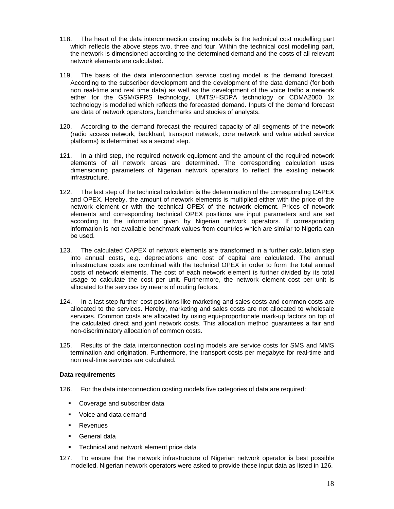- 118. The heart of the data interconnection costing models is the technical cost modelling part which reflects the above steps two, three and four. Within the technical cost modelling part, the network is dimensioned according to the determined demand and the costs of all relevant network elements are calculated.
- 119. The basis of the data interconnection service costing model is the demand forecast. According to the subscriber development and the development of the data demand (for both non real-time and real time data) as well as the development of the voice traffic a network either for the GSM/GPRS technology, UMTS/HSDPA technology or CDMA2000 1x technology is modelled which reflects the forecasted demand. Inputs of the demand forecast are data of network operators, benchmarks and studies of analysts.
- 120. According to the demand forecast the required capacity of all segments of the network (radio access network, backhaul, transport network, core network and value added service platforms) is determined as a second step.
- 121. In a third step, the required network equipment and the amount of the required network elements of all network areas are determined. The corresponding calculation uses dimensioning parameters of Nigerian network operators to reflect the existing network infrastructure.
- 122. The last step of the technical calculation is the determination of the corresponding CAPEX and OPEX. Hereby, the amount of network elements is multiplied either with the price of the network element or with the technical OPEX of the network element. Prices of network elements and corresponding technical OPEX positions are input parameters and are set according to the information given by Nigerian network operators. If corresponding information is not available benchmark values from countries which are similar to Nigeria can be used.
- 123. The calculated CAPEX of network elements are transformed in a further calculation step into annual costs, e.g. depreciations and cost of capital are calculated. The annual infrastructure costs are combined with the technical OPEX in order to form the total annual costs of network elements. The cost of each network element is further divided by its total usage to calculate the cost per unit. Furthermore, the network element cost per unit is allocated to the services by means of routing factors.
- 124. In a last step further cost positions like marketing and sales costs and common costs are allocated to the services. Hereby, marketing and sales costs are not allocated to wholesale services. Common costs are allocated by using equi-proportionate mark-up factors on top of the calculated direct and joint network costs. This allocation method guarantees a fair and non-discriminatory allocation of common costs.
- 125. Results of the data interconnection costing models are service costs for SMS and MMS termination and origination. Furthermore, the transport costs per megabyte for real-time and non real-time services are calculated.

## **Data requirements**

- 126. For the data interconnection costing models five categories of data are required:
	- Coverage and subscriber data
	- **Voice and data demand**
	- **Revenues**
	- General data
	- **Technical and network element price data**
- 127. To ensure that the network infrastructure of Nigerian network operator is best possible modelled, Nigerian network operators were asked to provide these input data as listed in 126.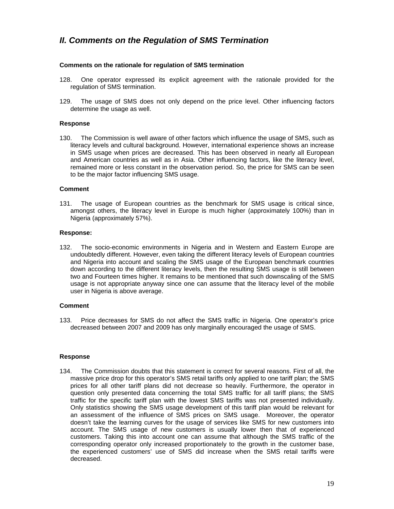## *II. Comments on the Regulation of SMS Termination*

## **Comments on the rationale for regulation of SMS termination**

- 128. One operator expressed its explicit agreement with the rationale provided for the regulation of SMS termination.
- 129. The usage of SMS does not only depend on the price level. Other influencing factors determine the usage as well.

## **Response**

130. The Commission is well aware of other factors which influence the usage of SMS, such as literacy levels and cultural background. However, international experience shows an increase in SMS usage when prices are decreased. This has been observed in nearly all European and American countries as well as in Asia. Other influencing factors, like the literacy level, remained more or less constant in the observation period. So, the price for SMS can be seen to be the major factor influencing SMS usage.

## **Comment**

131. The usage of European countries as the benchmark for SMS usage is critical since, amongst others, the literacy level in Europe is much higher (approximately 100%) than in Nigeria (approximately 57%).

## **Response:**

132. The socio-economic environments in Nigeria and in Western and Eastern Europe are undoubtedly different. However, even taking the different literacy levels of European countries and Nigeria into account and scaling the SMS usage of the European benchmark countries down according to the different literacy levels, then the resulting SMS usage is still between two and Fourteen times higher. It remains to be mentioned that such downscaling of the SMS usage is not appropriate anyway since one can assume that the literacy level of the mobile user in Nigeria is above average.

## **Comment**

133. Price decreases for SMS do not affect the SMS traffic in Nigeria. One operator's price decreased between 2007 and 2009 has only marginally encouraged the usage of SMS.

## **Response**

134. The Commission doubts that this statement is correct for several reasons. First of all, the massive price drop for this operator's SMS retail tariffs only applied to one tariff plan; the SMS prices for all other tariff plans did not decrease so heavily. Furthermore, the operator in question only presented data concerning the total SMS traffic for all tariff plans; the SMS traffic for the specific tariff plan with the lowest SMS tariffs was not presented individually. Only statistics showing the SMS usage development of this tariff plan would be relevant for an assessment of the influence of SMS prices on SMS usage. Moreover, the operator doesn't take the learning curves for the usage of services like SMS for new customers into account. The SMS usage of new customers is usually lower then that of experienced customers. Taking this into account one can assume that although the SMS traffic of the corresponding operator only increased proportionately to the growth in the customer base, the experienced customers' use of SMS did increase when the SMS retail tariffs were decreased.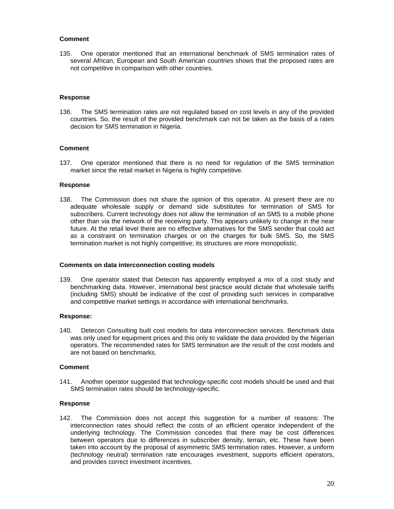## **Comment**

135. One operator mentioned that an international benchmark of SMS termination rates of several African, European and South American countries shows that the proposed rates are not competitive in comparison with other countries.

## **Response**

136. The SMS termination rates are not regulated based on cost levels in any of the provided countries. So, the result of the provided benchmark can not be taken as the basis of a rates decision for SMS termination in Nigeria.

## **Comment**

137. One operator mentioned that there is no need for regulation of the SMS termination market since the retail market in Nigeria is highly competitive.

## **Response**

138. The Commission does not share the opinion of this operator. At present there are no adequate wholesale supply or demand side substitutes for termination of SMS for subscribers. Current technology does not allow the termination of an SMS to a mobile phone other than via the network of the receiving party. This appears unlikely to change in the near future. At the retail level there are no effective alternatives for the SMS sender that could act as a constraint on termination charges or on the charges for bulk SMS. So, the SMS termination market is not highly competitive; its structures are more monopolistic.

#### **Comments on data interconnection costing models**

139. One operator stated that Detecon has apparently employed a mix of a cost study and benchmarking data. However, international best practice would dictate that wholesale tariffs (including SMS) should be indicative of the cost of providing such services in comparative and competitive market settings in accordance with international benchmarks.

#### **Response:**

140. Detecon Consulting built cost models for data interconnection services. Benchmark data was only used for equipment prices and this only to validate the data provided by the Nigerian operators. The recommended rates for SMS termination are the result of the cost models and are not based on benchmarks.

#### **Comment**

141. Another operator suggested that technology-specific cost models should be used and that SMS termination rates should be technology-specific.

#### **Response**

142. The Commission does not accept this suggestion for a number of reasons: The interconnection rates should reflect the costs of an efficient operator independent of the underlying technology. The Commission concedes that there may be cost differences between operators due to differences in subscriber density, terrain, etc. These have been taken into account by the proposal of asymmetric SMS termination rates. However, a uniform (technology neutral) termination rate encourages investment, supports efficient operators, and provides correct investment incentives.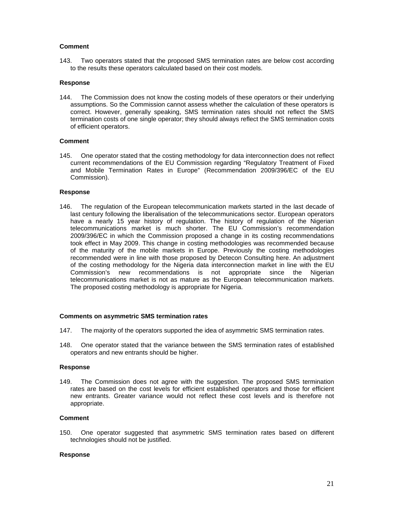## **Comment**

143. Two operators stated that the proposed SMS termination rates are below cost according to the results these operators calculated based on their cost models.

## **Response**

144. The Commission does not know the costing models of these operators or their underlying assumptions. So the Commission cannot assess whether the calculation of these operators is correct. However, generally speaking, SMS termination rates should not reflect the SMS termination costs of one single operator; they should always reflect the SMS termination costs of efficient operators.

## **Comment**

145. One operator stated that the costing methodology for data interconnection does not reflect current recommendations of the EU Commission regarding "Regulatory Treatment of Fixed and Mobile Termination Rates in Europe" (Recommendation 2009/396/EC of the EU Commission).

## **Response**

146. The regulation of the European telecommunication markets started in the last decade of last century following the liberalisation of the telecommunications sector. European operators have a nearly 15 year history of regulation. The history of regulation of the Nigerian telecommunications market is much shorter. The EU Commission's recommendation 2009/396/EC in which the Commission proposed a change in its costing recommendations took effect in May 2009. This change in costing methodologies was recommended because of the maturity of the mobile markets in Europe. Previously the costing methodologies recommended were in line with those proposed by Detecon Consulting here. An adjustment of the costing methodology for the Nigeria data interconnection market in line with the EU Commission's new recommendations is not appropriate since the Nigerian telecommunications market is not as mature as the European telecommunication markets. The proposed costing methodology is appropriate for Nigeria.

## **Comments on asymmetric SMS termination rates**

- 147. The majority of the operators supported the idea of asymmetric SMS termination rates.
- 148. One operator stated that the variance between the SMS termination rates of established operators and new entrants should be higher.

## **Response**

149. The Commission does not agree with the suggestion. The proposed SMS termination rates are based on the cost levels for efficient established operators and those for efficient new entrants. Greater variance would not reflect these cost levels and is therefore not appropriate.

## **Comment**

150. One operator suggested that asymmetric SMS termination rates based on different technologies should not be justified.

## **Response**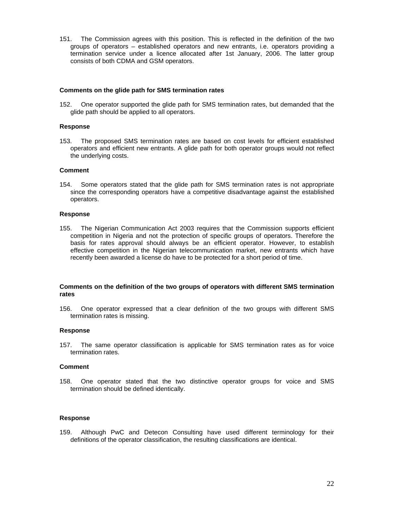151. The Commission agrees with this position. This is reflected in the definition of the two groups of operators – established operators and new entrants, i.e. operators providing a termination service under a licence allocated after 1st January, 2006. The latter group consists of both CDMA and GSM operators.

## **Comments on the glide path for SMS termination rates**

152. One operator supported the glide path for SMS termination rates, but demanded that the glide path should be applied to all operators.

## **Response**

153. The proposed SMS termination rates are based on cost levels for efficient established operators and efficient new entrants. A glide path for both operator groups would not reflect the underlying costs.

## **Comment**

154. Some operators stated that the glide path for SMS termination rates is not appropriate since the corresponding operators have a competitive disadvantage against the established operators.

## **Response**

155. The Nigerian Communication Act 2003 requires that the Commission supports efficient competition in Nigeria and not the protection of specific groups of operators. Therefore the basis for rates approval should always be an efficient operator. However, to establish effective competition in the Nigerian telecommunication market, new entrants which have recently been awarded a license do have to be protected for a short period of time.

## **Comments on the definition of the two groups of operators with different SMS termination rates**

156. One operator expressed that a clear definition of the two groups with different SMS termination rates is missing.

#### **Response**

157. The same operator classification is applicable for SMS termination rates as for voice termination rates.

#### **Comment**

158. One operator stated that the two distinctive operator groups for voice and SMS termination should be defined identically.

## **Response**

159. Although PwC and Detecon Consulting have used different terminology for their definitions of the operator classification, the resulting classifications are identical.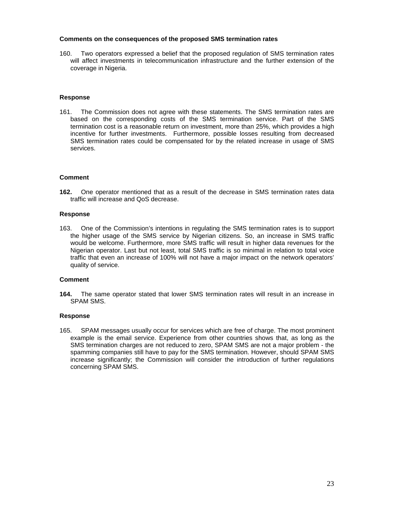## **Comments on the consequences of the proposed SMS termination rates**

160. Two operators expressed a belief that the proposed regulation of SMS termination rates will affect investments in telecommunication infrastructure and the further extension of the coverage in Nigeria.

## **Response**

161. The Commission does not agree with these statements. The SMS termination rates are based on the corresponding costs of the SMS termination service. Part of the SMS termination cost is a reasonable return on investment, more than 25%, which provides a high incentive for further investments. Furthermore, possible losses resulting from decreased SMS termination rates could be compensated for by the related increase in usage of SMS services.

## **Comment**

**162.** One operator mentioned that as a result of the decrease in SMS termination rates data traffic will increase and QoS decrease.

#### **Response**

163. One of the Commission's intentions in regulating the SMS termination rates is to support the higher usage of the SMS service by Nigerian citizens. So, an increase in SMS traffic would be welcome. Furthermore, more SMS traffic will result in higher data revenues for the Nigerian operator. Last but not least, total SMS traffic is so minimal in relation to total voice traffic that even an increase of 100% will not have a major impact on the network operators' quality of service.

#### **Comment**

**164.** The same operator stated that lower SMS termination rates will result in an increase in SPAM SMS.

## **Response**

165. SPAM messages usually occur for services which are free of charge. The most prominent example is the email service. Experience from other countries shows that, as long as the SMS termination charges are not reduced to zero, SPAM SMS are not a major problem - the spamming companies still have to pay for the SMS termination. However, should SPAM SMS increase significantly; the Commission will consider the introduction of further regulations concerning SPAM SMS.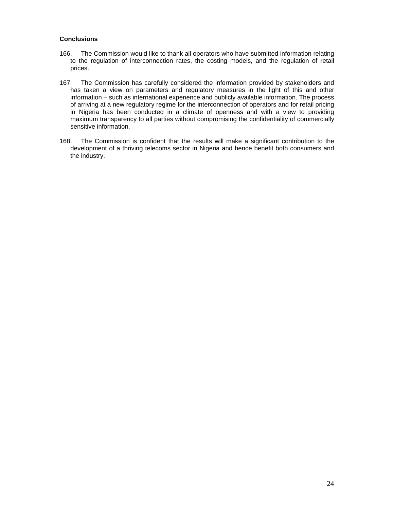## **Conclusions**

- 166. The Commission would like to thank all operators who have submitted information relating to the regulation of interconnection rates, the costing models, and the regulation of retail prices.
- 167. The Commission has carefully considered the information provided by stakeholders and has taken a view on parameters and regulatory measures in the light of this and other information – such as international experience and publicly available information. The process of arriving at a new regulatory regime for the interconnection of operators and for retail pricing in Nigeria has been conducted in a climate of openness and with a view to providing maximum transparency to all parties without compromising the confidentiality of commercially sensitive information.
- 168. The Commission is confident that the results will make a significant contribution to the development of a thriving telecoms sector in Nigeria and hence benefit both consumers and the industry.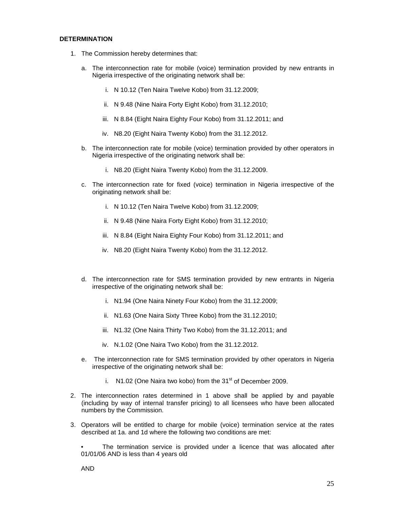## **DETERMINATION**

- 1. The Commission hereby determines that:
	- a. The interconnection rate for mobile (voice) termination provided by new entrants in Nigeria irrespective of the originating network shall be:
		- i. N 10.12 (Ten Naira Twelve Kobo) from 31.12.2009;
		- ii. N 9.48 (Nine Naira Forty Eight Kobo) from 31.12.2010;
		- iii. N 8.84 (Eight Naira Eighty Four Kobo) from 31.12.2011; and
		- iv. N8.20 (Eight Naira Twenty Kobo) from the 31.12.2012.
	- b. The interconnection rate for mobile (voice) termination provided by other operators in Nigeria irrespective of the originating network shall be:
		- i. N8.20 (Eight Naira Twenty Kobo) from the 31.12.2009.
	- c. The interconnection rate for fixed (voice) termination in Nigeria irrespective of the originating network shall be:
		- i. N 10.12 (Ten Naira Twelve Kobo) from 31.12.2009;
		- ii. N 9.48 (Nine Naira Forty Eight Kobo) from 31.12.2010;
		- iii. N 8.84 (Eight Naira Eighty Four Kobo) from 31.12.2011; and
		- iv. N8.20 (Eight Naira Twenty Kobo) from the 31.12.2012.
	- d. The interconnection rate for SMS termination provided by new entrants in Nigeria irrespective of the originating network shall be:
		- i. N1.94 (One Naira Ninety Four Kobo) from the 31.12.2009;
		- ii. N1.63 (One Naira Sixty Three Kobo) from the 31.12.2010;
		- iii. N1.32 (One Naira Thirty Two Kobo) from the 31.12.2011; and
		- iv. N.1.02 (One Naira Two Kobo) from the 31.12.2012.
	- e. The interconnection rate for SMS termination provided by other operators in Nigeria irrespective of the originating network shall be:
		- i.  $N1.02$  (One Naira two kobo) from the  $31<sup>st</sup>$  of December 2009.
- 2. The interconnection rates determined in 1 above shall be applied by and payable (including by way of internal transfer pricing) to all licensees who have been allocated numbers by the Commission.
- 3. Operators will be entitled to charge for mobile (voice) termination service at the rates described at 1a. and 1d where the following two conditions are met:

The termination service is provided under a licence that was allocated after 01/01/06 AND is less than 4 years old

AND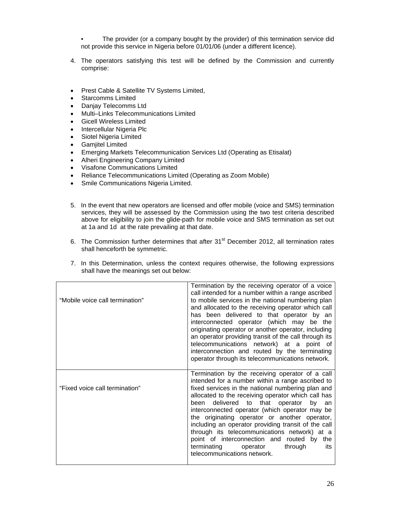The provider (or a company bought by the provider) of this termination service did not provide this service in Nigeria before 01/01/06 (under a different licence).

- 4. The operators satisfying this test will be defined by the Commission and currently comprise:
- Prest Cable & Satellite TV Systems Limited,
- Starcomms Limited
- Danjay Telecomms Ltd
- Multi–Links Telecommunications Limited
- Gicell Wireless Limited
- Intercellular Nigeria Plc
- Siotel Nigeria Limited
- Gamjitel Limited
- Emerging Markets Telecommunication Services Ltd (Operating as Etisalat)
- Alheri Engineering Company Limited
- Visafone Communications Limited
- Reliance Telecommunications Limited (Operating as Zoom Mobile)
- Smile Communications Nigeria Limited.
- 5. In the event that new operators are licensed and offer mobile (voice and SMS) termination services, they will be assessed by the Commission using the two test criteria described above for eligibility to join the glide-path for mobile voice and SMS termination as set out at 1a and 1d at the rate prevailing at that date.
- 6. The Commission further determines that after 31<sup>st</sup> December 2012, all termination rates shall henceforth be symmetric.
- 7. In this Determination, unless the context requires otherwise, the following expressions shall have the meanings set out below:

| "Mobile voice call termination" | Termination by the receiving operator of a voice<br>call intended for a number within a range ascribed<br>to mobile services in the national numbering plan<br>and allocated to the receiving operator which call<br>has been delivered to that operator by an<br>interconnected operator (which may be the<br>originating operator or another operator, including<br>an operator providing transit of the call through its<br>telecommunications network) at a point of<br>interconnection and routed by the terminating<br>operator through its telecommunications network.               |
|---------------------------------|---------------------------------------------------------------------------------------------------------------------------------------------------------------------------------------------------------------------------------------------------------------------------------------------------------------------------------------------------------------------------------------------------------------------------------------------------------------------------------------------------------------------------------------------------------------------------------------------|
| "Fixed voice call termination"  | Termination by the receiving operator of a call<br>intended for a number within a range ascribed to<br>fixed services in the national numbering plan and<br>allocated to the receiving operator which call has<br>been delivered to that operator by an<br>interconnected operator (which operator may be<br>the originating operator or another operator,<br>including an operator providing transit of the call<br>through its telecommunications network) at a<br>point of interconnection and routed by the<br>terminating<br>through<br>operator<br>its<br>telecommunications network. |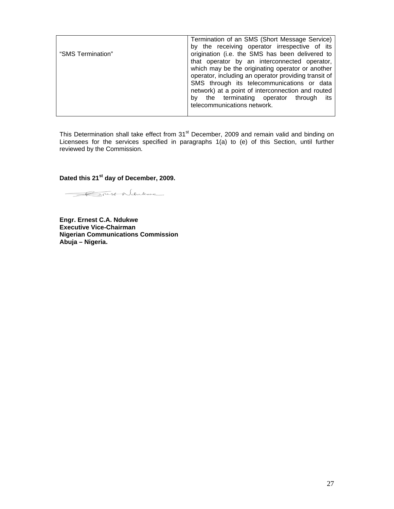|                   | Termination of an SMS (Short Message Service)        |
|-------------------|------------------------------------------------------|
|                   | by the receiving operator irrespective of its        |
| "SMS Termination" | origination (i.e. the SMS has been delivered to      |
|                   | that operator by an interconnected operator,         |
|                   | which may be the originating operator or another     |
|                   | operator, including an operator providing transit of |
|                   | SMS through its telecommunications or data           |
|                   | network) at a point of interconnection and routed    |
|                   | the terminating operator through its<br>bv           |
|                   | telecommunications network.                          |
|                   |                                                      |

This Determination shall take effect from 31<sup>st</sup> December, 2009 and remain valid and binding on Licensees for the services specified in paragraphs 1(a) to (e) of this Section, until further reviewed by the Commission.

**Dated this 21st day of December, 2009.** 

Rivest Ndukwe

**Engr. Ernest C.A. Ndukwe Executive Vice-Chairman Nigerian Communications Commission Abuja – Nigeria.**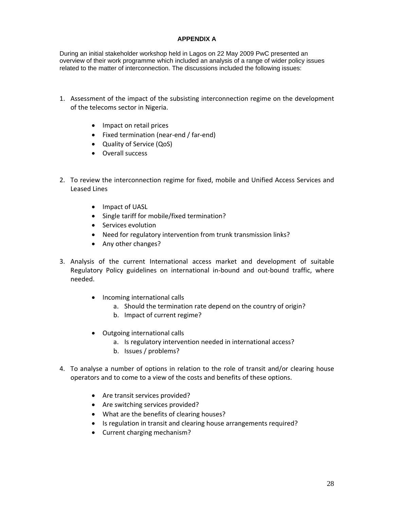## **APPENDIX A**

During an initial stakeholder workshop held in Lagos on 22 May 2009 PwC presented an overview of their work programme which included an analysis of a range of wider policy issues related to the matter of interconnection. The discussions included the following issues:

- 1. Assessment of the impact of the subsisting interconnection regime on the development of the telecoms sector in Nigeria.
	- Impact on retail prices
	- Fixed termination (near‐end / far‐end)
	- Quality of Service (QoS)
	- Overall success
- 2. To review the interconnection regime for fixed, mobile and Unified Access Services and Leased Lines
	- Impact of UASL
	- Single tariff for mobile/fixed termination?
	- Services evolution
	- Need for regulatory intervention from trunk transmission links?
	- Any other changes?
- 3. Analysis of the current International access market and development of suitable Regulatory Policy guidelines on international in‐bound and out‐bound traffic, where needed.
	- Incoming international calls
		- a. Should the termination rate depend on the country of origin?
		- b. Impact of current regime?
	- Outgoing international calls
		- a. Is regulatory intervention needed in international access?
		- b. Issues / problems?
- 4. To analyse a number of options in relation to the role of transit and/or clearing house operators and to come to a view of the costs and benefits of these options.
	- Are transit services provided?
	- Are switching services provided?
	- What are the benefits of clearing houses?
	- Is regulation in transit and clearing house arrangements required?
	- Current charging mechanism?